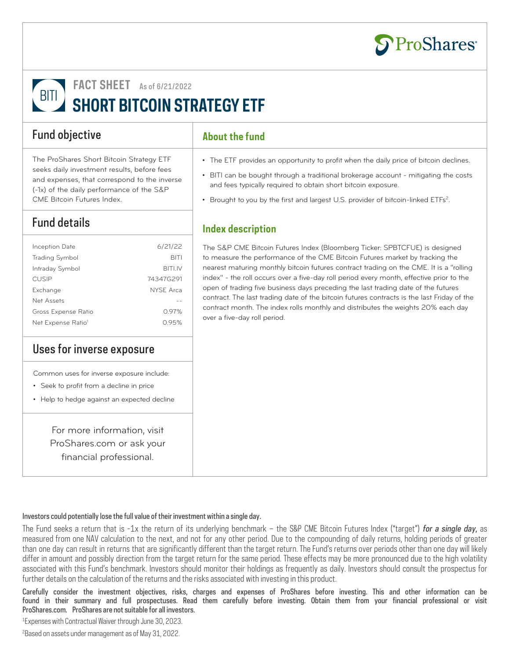

**FACT SHEET** As of 6/21/2022

# **BITI SHORT BITCOIN STRATEGY ETF**

### Fund objective

The ProShares Short Bitcoin Strategy ETF seeks daily investment results, before fees and expenses, that correspond to the inverse (-1x) of the daily performance of the S&P CME Bitcoin Futures Index.

## Fund details

| Inception Date                 | 6/21/22          |
|--------------------------------|------------------|
| <b>Trading Symbol</b>          | <b>BITI</b>      |
| Intraday Symbol                | <b>BITLIV</b>    |
| <b>CUSIP</b>                   | 74347G291        |
| Exchange                       | <b>NYSE Arca</b> |
| Net Assets                     |                  |
| Gross Expense Ratio            | 0.97%            |
| Net Expense Ratio <sup>1</sup> | O 95%            |
|                                |                  |

#### Uses for inverse exposure

Common uses for inverse exposure include:

- Seek to profit from a decline in price
- Help to hedge against an expected decline

For more information, visit ProShares.com or ask your financial professional.

#### **About the fund**

- The ETF provides an opportunity to profit when the daily price of bitcoin declines.
- BITI can be bought through a traditional brokerage account mitigating the costs and fees typically required to obtain short bitcoin exposure.
- Brought to you by the first and largest U.S. provider of bitcoin-linked ETFs<sup>2</sup>.

#### **Index description**

The S&P CME Bitcoin Futures Index (Bloomberg Ticker: SPBTCFUE) is designed to measure the performance of the CME Bitcoin Futures market by tracking the nearest maturing monthly bitcoin futures contract trading on the CME. It is a "rolling index" - the roll occurs over a five-day roll period every month, effective prior to the open of trading five business days preceding the last trading date of the futures contract. The last trading date of the bitcoin futures contracts is the last Friday of the contract month. The index rolls monthly and distributes the weights 20% each day over a five-day roll period.

#### Investors could potentially lose the full value of their investment within a single day.

The Fund seeks a return that is  $-1x$  the return of its underlying benchmark – the S&P CME Bitcoin Futures Index ("target") for a single day, as measured from one NAV calculation to the next, and not for any other period. Due to the compounding of daily returns, holding periods of greater than one day can result in returns that are significantly different than the target return. The Fund's returns over periods other than one day will likely differ in amount and possibly direction from the target return for the same period. These effects may be more pronounced due to the high volatility associated with this Fund's benchmark. Investors should monitor their holdings as frequently as daily. Investors should consult the prospectus for further details on the calculation of the returns and the risks associated with investing in this product.

Carefully consider the investment objectives, risks, charges and expenses of ProShares before investing. This and other information can be found in their summary and full prospectuses. Read them carefully before investing. Obtain them from your financial professional or visit ProShares.com. ProShares are not suitable for all investors.

1 Expenses with Contractual Waiver through June 30, 2023.

2 Based on assets under management as of May 31, 2022.